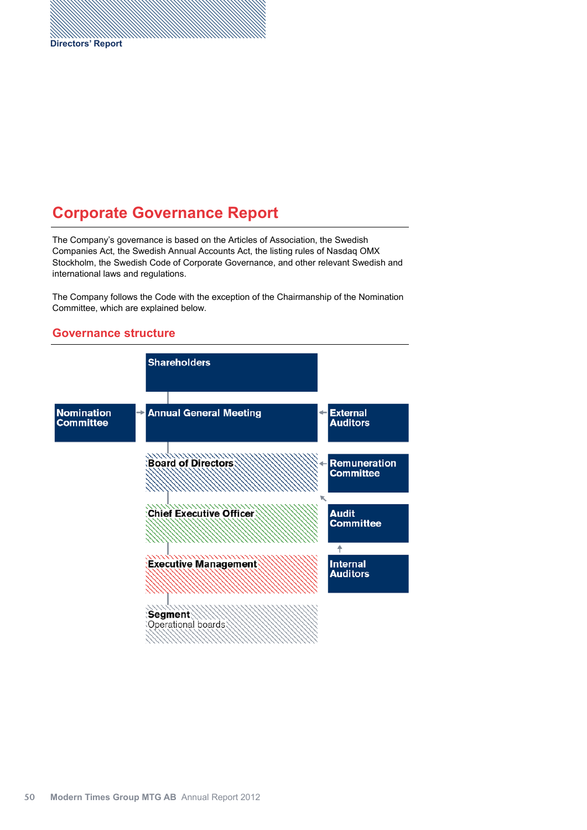# **Corporate Governance Report**

The Company's governance is based on the Articles of Association, the Swedish Companies Act, the Swedish Annual Accounts Act, the listing rules of Nasdaq OMX Stockholm, the Swedish Code of Corporate Governance, and other relevant Swedish and international laws and regulations.

The Company follows the Code with the exception of the Chairmanship of the Nomination Committee, which are explained below.

## **Shareholders Nomination Annual General Meeting External Committee Auditors Experience of Directors Remuneration Committee Chief Executive Officer Audit Committee** ↟ **Executive Management Internal Auditors Segment**

#### **Governance structure**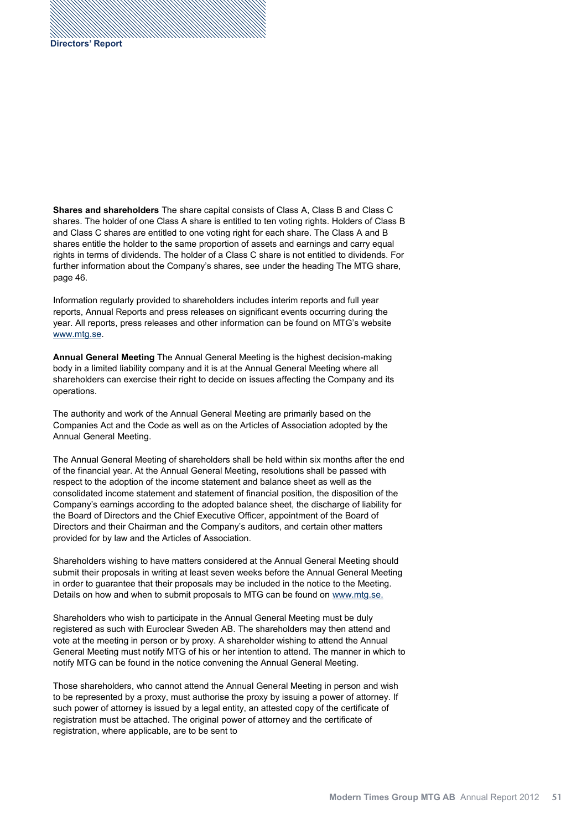**Shares and shareholders** The share capital consists of Class A, Class B and Class C shares. The holder of one Class A share is entitled to ten voting rights. Holders of Class B and Class C shares are entitled to one voting right for each share. The Class A and B shares entitle the holder to the same proportion of assets and earnings and carry equal rights in terms of dividends. The holder of a Class C share is not entitled to dividends. For further information about the Company's shares, see under the heading The MTG share, page 46.

Information regularly provided to shareholders includes interim reports and full year reports, Annual Reports and press releases on significant events occurring during the year. All reports, press releases and other information can be found on MTG's website www.mtg.se.

**Annual General Meeting** The Annual General Meeting is the highest decision-making body in a limited liability company and it is at the Annual General Meeting where all shareholders can exercise their right to decide on issues affecting the Company and its operations.

The authority and work of the Annual General Meeting are primarily based on the Companies Act and the Code as well as on the Articles of Association adopted by the Annual General Meeting.

The Annual General Meeting of shareholders shall be held within six months after the end of the financial year. At the Annual General Meeting, resolutions shall be passed with respect to the adoption of the income statement and balance sheet as well as the consolidated income statement and statement of financial position, the disposition of the Company's earnings according to the adopted balance sheet, the discharge of liability for the Board of Directors and the Chief Executive Officer, appointment of the Board of Directors and their Chairman and the Company's auditors, and certain other matters provided for by law and the Articles of Association.

Shareholders wishing to have matters considered at the Annual General Meeting should submit their proposals in writing at least seven weeks before the Annual General Meeting in order to guarantee that their proposals may be included in the notice to the Meeting. Details on how and when to submit proposals to MTG can be found on www.mtg.se.

Shareholders who wish to participate in the Annual General Meeting must be duly registered as such with Euroclear Sweden AB. The shareholders may then attend and vote at the meeting in person or by proxy. A shareholder wishing to attend the Annual General Meeting must notify MTG of his or her intention to attend. The manner in which to notify MTG can be found in the notice convening the Annual General Meeting.

Those shareholders, who cannot attend the Annual General Meeting in person and wish to be represented by a proxy, must authorise the proxy by issuing a power of attorney. If such power of attorney is issued by a legal entity, an attested copy of the certificate of registration must be attached. The original power of attorney and the certificate of registration, where applicable, are to be sent to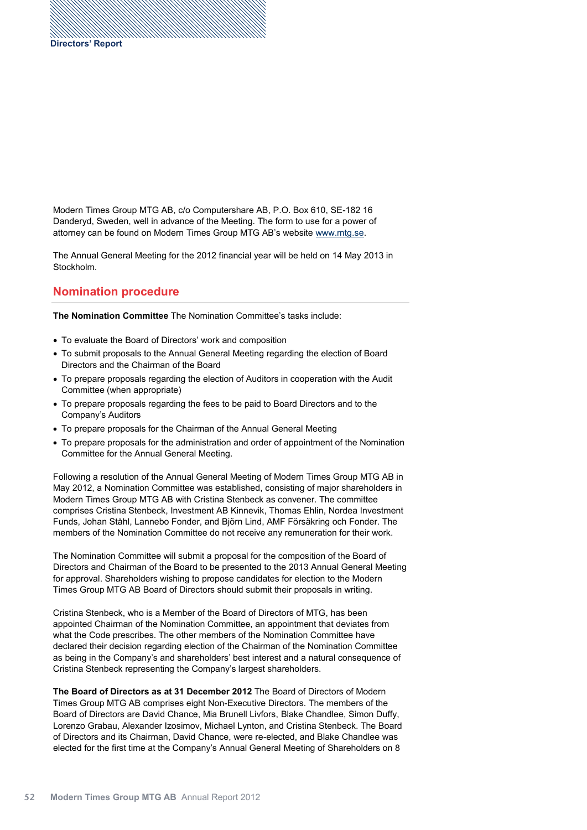Modern Times Group MTG AB, c/o Computershare AB, P.O. Box 610, SE-182 16 Danderyd, Sweden, well in advance of the Meeting. The form to use for a power of attorney can be found on Modern Times Group MTG AB's website www.mtg.se.

The Annual General Meeting for the 2012 financial year will be held on 14 May 2013 in Stockholm.

### **Nomination procedure**

**The Nomination Committee** The Nomination Committee's tasks include:

- To evaluate the Board of Directors' work and composition
- To submit proposals to the Annual General Meeting regarding the election of Board Directors and the Chairman of the Board
- To prepare proposals regarding the election of Auditors in cooperation with the Audit Committee (when appropriate)
- To prepare proposals regarding the fees to be paid to Board Directors and to the Company's Auditors
- To prepare proposals for the Chairman of the Annual General Meeting
- To prepare proposals for the administration and order of appointment of the Nomination Committee for the Annual General Meeting.

Following a resolution of the Annual General Meeting of Modern Times Group MTG AB in May 2012, a Nomination Committee was established, consisting of major shareholders in Modern Times Group MTG AB with Cristina Stenbeck as convener. The committee comprises Cristina Stenbeck, Investment AB Kinnevik, Thomas Ehlin, Nordea Investment Funds, Johan Ståhl, Lannebo Fonder, and Björn Lind, AMF Försäkring och Fonder. The members of the Nomination Committee do not receive any remuneration for their work.

The Nomination Committee will submit a proposal for the composition of the Board of Directors and Chairman of the Board to be presented to the 2013 Annual General Meeting for approval. Shareholders wishing to propose candidates for election to the Modern Times Group MTG AB Board of Directors should submit their proposals in writing.

Cristina Stenbeck, who is a Member of the Board of Directors of MTG, has been appointed Chairman of the Nomination Committee, an appointment that deviates from what the Code prescribes. The other members of the Nomination Committee have declared their decision regarding election of the Chairman of the Nomination Committee as being in the Company's and shareholders' best interest and a natural consequence of Cristina Stenbeck representing the Company's largest shareholders.

The Board of Directors as at 31 December 2012 The Board of Directors of Modern Times Group MTG AB comprises eight Non-Executive Directors. The members of the Board of Directors are David Chance, Mia Brunell Livfors, Blake Chandlee, Simon Duffy, Lorenzo Grabau, Alexander Izosimov, Michael Lynton, and Cristina Stenbeck. The Board of Directors and its Chairman, David Chance, were re-elected, and Blake Chandlee was elected for the first time at the Company's Annual General Meeting of Shareholders on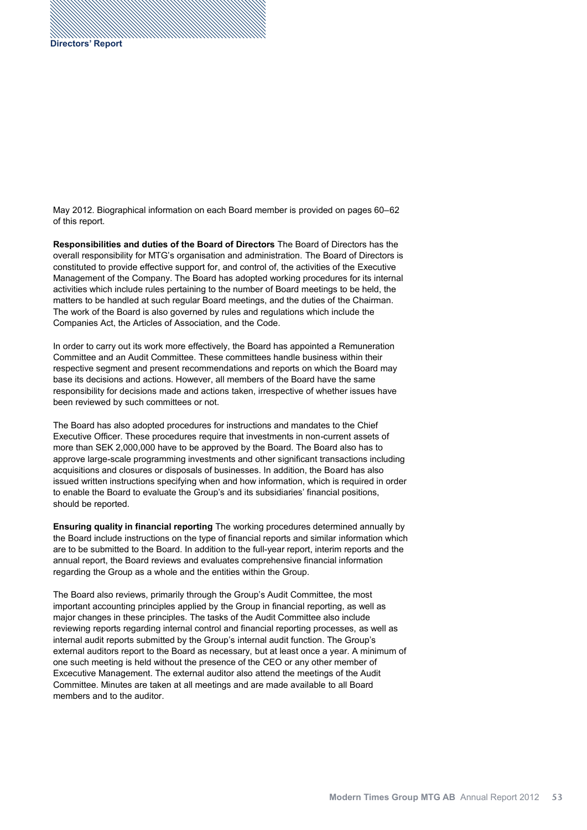May 2012. Biographical information on each Board member is provided on pages 60-62 of this report.

**Responsibilities and duties of the Board of Directors** The Board of Directors has the overall responsibility for MTG's organisation and administration. The Board of Directors is constituted to provide effective support for, and control of, the activities of the Executive Management of the Company. The Board has adopted working procedures for its internal activities which include rules pertaining to the number of Board meetings to be held, the matters to be handled at such regular Board meetings, and the duties of the Chairman. The work of the Board is also governed by rules and regulations which include the Companies Act, the Articles of Association, and the Code.

In order to carry out its work more effectively, the Board has appointed a Remuneration Committee and an Audit Committee. These committees handle business within their respective segment and present recommendations and reports on which the Board may base its decisions and actions. However, all members of the Board have the same responsibility for decisions made and actions taken, irrespective of whether issues have been reviewed by such committees or not.

The Board has also adopted procedures for instructions and mandates to the Chief Executive Officer. These procedures require that investments in non-current assets of more than SEK 2,000,000 have to be approved by the Board. The Board also has to approve large-scale programming investments and other significant transactions including acquisitions and closures or disposals of businesses. In addition, the Board has also issued written instructions specifying when and how information, which is required in order to enable the Board to evaluate the Group's and its subsidiaries' financial positions, should be reported.

**Ensuring quality in financial reporting** The working procedures determined annually by the Board include instructions on the type of financial reports and similar information which are to be submitted to the Board. In addition to the full-year report, interim reports and the annual report, the Board reviews and evaluates comprehensive financial information regarding the Group as a whole and the entities within the Group.

The Board also reviews, primarily through the Group's Audit Committee, the most important accounting principles applied by the Group in financial reporting, as well as major changes in these principles. The tasks of the Audit Committee also include reviewing reports regarding internal control and financial reporting processes, as well as internal audit reports submitted by the Group's internal audit function. The Group's external auditors report to the Board as necessary, but at least once a year. A minimum of one such meeting is held without the presence of the CEO or any other member of Excecutive Management. The external auditor also attend the meetings of the Audit Committee. Minutes are taken at all meetings and are made available to all Board members and to the auditor.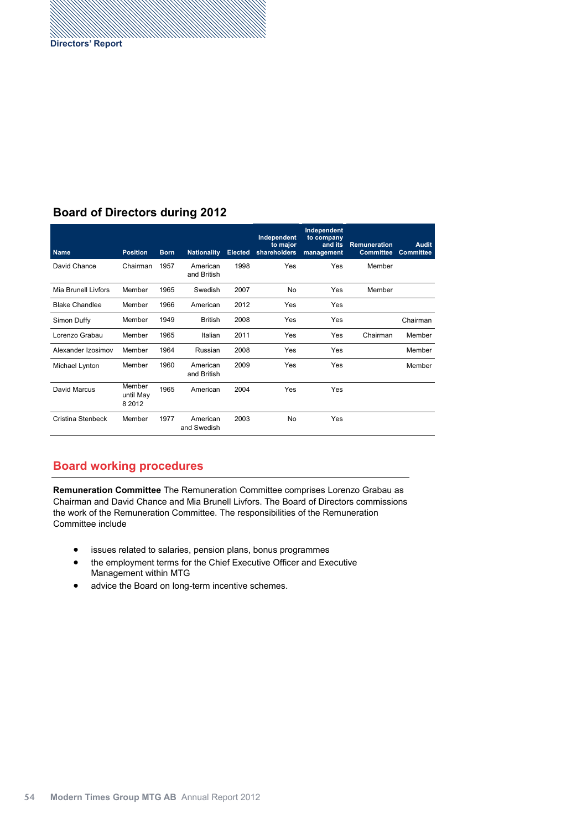## **Board of Directors during 2012**

| <b>Name</b>           | <b>Position</b>                  | <b>Born</b> | <b>Nationality</b>      | <b>Elected</b> | Independent<br>to major<br>shareholders | Independent<br>to company<br>and its<br>management | <b>Remuneration</b><br><b>Committee</b> | <b>Audit</b><br><b>Committee</b> |
|-----------------------|----------------------------------|-------------|-------------------------|----------------|-----------------------------------------|----------------------------------------------------|-----------------------------------------|----------------------------------|
| David Chance          | Chairman                         | 1957        | American<br>and British | 1998           | Yes                                     | Yes                                                | Member                                  |                                  |
| Mia Brunell Livfors   | Member                           | 1965        | Swedish                 | 2007           | No                                      | Yes                                                | Member                                  |                                  |
| <b>Blake Chandlee</b> | Member                           | 1966        | American                | 2012           | Yes                                     | Yes                                                |                                         |                                  |
| Simon Duffy           | Member                           | 1949        | <b>British</b>          | 2008           | Yes                                     | Yes                                                |                                         | Chairman                         |
| Lorenzo Grabau        | Member                           | 1965        | Italian                 | 2011           | Yes                                     | Yes                                                | Chairman                                | Member                           |
| Alexander Izosimov    | Member                           | 1964        | Russian                 | 2008           | Yes                                     | Yes                                                |                                         | Member                           |
| Michael Lynton        | Member                           | 1960        | American<br>and British | 2009           | Yes                                     | Yes                                                |                                         | Member                           |
| David Marcus          | Member<br>until May<br>8 2 0 1 2 | 1965        | American                | 2004           | Yes                                     | Yes                                                |                                         |                                  |
| Cristina Stenbeck     | Member                           | 1977        | American<br>and Swedish | 2003           | <b>No</b>                               | Yes                                                |                                         |                                  |

## **Board working procedures**

**Remuneration Committee** The Remuneration Committee comprises Lorenzo Grabau as Chairman and David Chance and Mia Brunell Livfors. The Board of Directors commissions the work of the Remuneration Committee. The responsibilities of the Remuneration Committee include

- issues related to salaries, pension plans, bonus programmes
- the employment terms for the Chief Executive Officer and Executive Management within MTG
- advice the Board on long-term incentive schemes.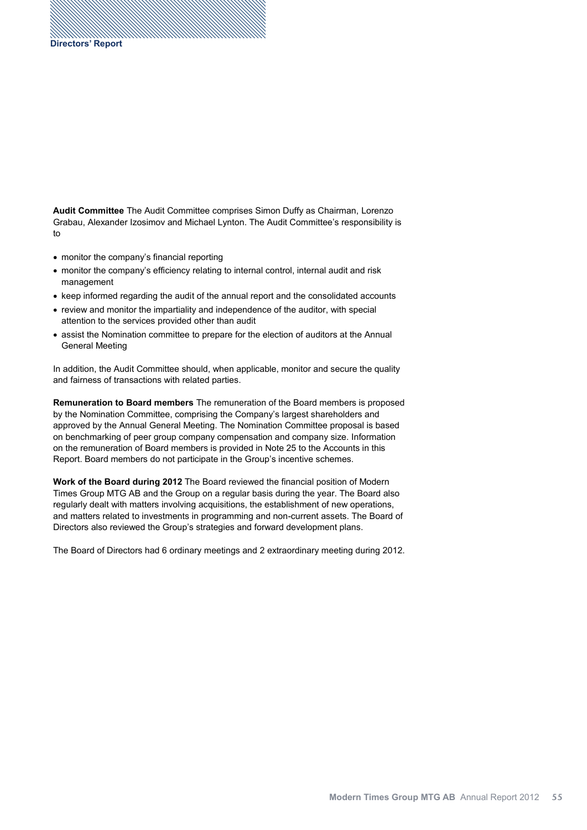**Audit Committee** The Audit Committee comprises Simon Duffy as Chairman, Lorenzo Grabau, Alexander Izosimov and Michael Lynton. The Audit Committee's responsibility is to

- monitor the company's financial reporting
- monitor the company's efficiency relating to internal control, internal audit and risk management
- keep informed regarding the audit of the annual report and the consolidated accounts
- review and monitor the impartiality and independence of the auditor, with special attention to the services provided other than audit
- assist the Nomination committee to prepare for the election of auditors at the Annual General Meeting

In addition, the Audit Committee should, when applicable, monitor and secure the quality and fairness of transactions with related parties.

**Remuneration to Board members** The remuneration of the Board members is proposed by the Nomination Committee, comprising the Company's largest shareholders and approved by the Annual General Meeting. The Nomination Committee proposal is based on benchmarking of peer group company compensation and company size. Information on the remuneration of Board members is provided in Note 25 to the Accounts in this Report. Board members do not participate in the Group's incentive schemes.

**Work of the Board during 2012** The Board reviewed the financial position of Modern Times Group MTG AB and the Group on a regular basis during the year. The Board also regularly dealt with matters involving acquisitions, the establishment of new operations, and matters related to investments in programming and non-current assets. The Board of Directors also reviewed the Group's strategies and forward development plans.

The Board of Directors had 6 ordinary meetings and 2 extraordinary meeting during 2012.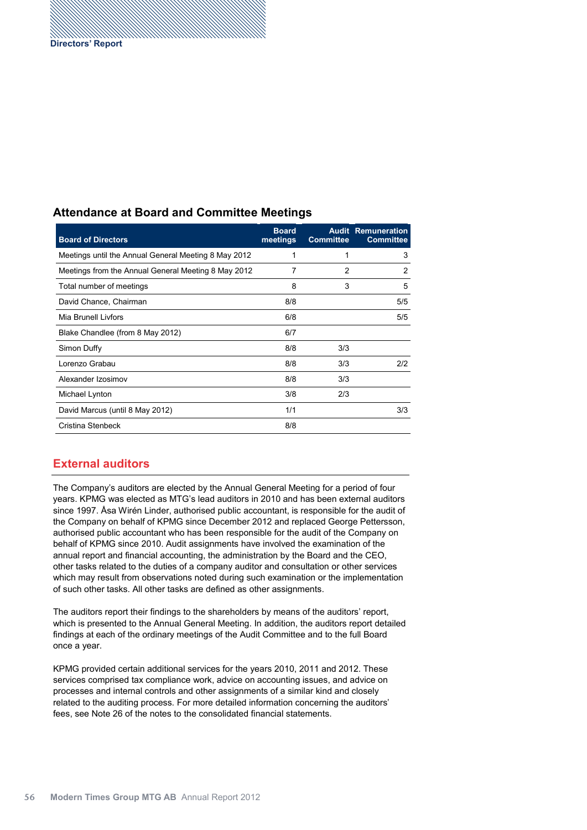### **Attendance at Board and Committee Meetings**

| <b>Board of Directors</b>                            | <b>Board</b><br>meetings | <b>Committee</b> | <b>Audit Remuneration</b><br><b>Committee</b> |
|------------------------------------------------------|--------------------------|------------------|-----------------------------------------------|
| Meetings until the Annual General Meeting 8 May 2012 | 1                        |                  | 3                                             |
| Meetings from the Annual General Meeting 8 May 2012  | 7                        | 2                | 2                                             |
| Total number of meetings                             | 8                        | 3                | 5                                             |
| David Chance, Chairman                               | 8/8                      |                  | 5/5                                           |
| Mia Brunell Livfors                                  | 6/8                      |                  | 5/5                                           |
| Blake Chandlee (from 8 May 2012)                     | 6/7                      |                  |                                               |
| Simon Duffy                                          | 8/8                      | 3/3              |                                               |
| Lorenzo Grabau                                       | 8/8                      | 3/3              | 2/2                                           |
| Alexander Izosimov                                   | 8/8                      | 3/3              |                                               |
| Michael Lynton                                       | 3/8                      | 2/3              |                                               |
| David Marcus (until 8 May 2012)                      | 1/1                      |                  | 3/3                                           |
| Cristina Stenbeck                                    | 8/8                      |                  |                                               |

#### **External auditors**

The Company's auditors are elected by the Annual General Meeting for a period of four years. KPMG was elected as MTG's lead auditors in 2010 and has been external auditors since 1997. Åsa Wirén Linder, authorised public accountant, is responsible for the audit of the Company on behalf of KPMG since December 2012 and replaced George Pettersson, authorised public accountant who has been responsible for the audit of the Company on behalf of KPMG since 2010. Audit assignments have involved the examination of the annual report and financial accounting, the administration by the Board and the CEO, other tasks related to the duties of a company auditor and consultation or other services which may result from observations noted during such examination or the implementation of such other tasks. All other tasks are defined as other assignments.

The auditors report their findings to the shareholders by means of the auditors' report, which is presented to the Annual General Meeting. In addition, the auditors report detailed findings at each of the ordinary meetings of the Audit Committee and to the full Board once a year.

KPMG provided certain additional services for the years 2010, 2011 and 2012. These services comprised tax compliance work, advice on accounting issues, and advice on processes and internal controls and other assignments of a similar kind and closely related to the auditing process. For more detailed information concerning the auditors' fees, see Note 26 of the notes to the consolidated financial statements.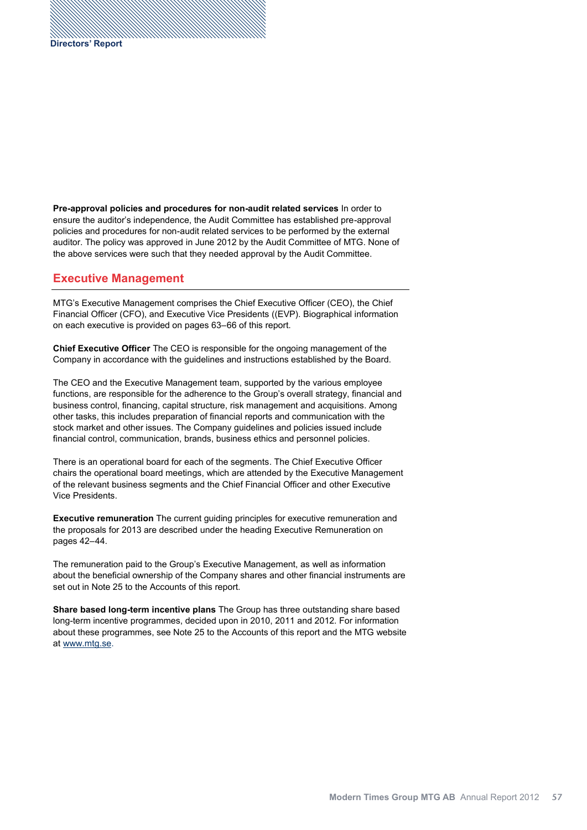**Pre-approval policies and procedures for non-audit related services** In order to ensure the auditor's independence, the Audit Committee has established pre-approval policies and procedures for non-audit related services to be performed by the external auditor. The policy was approved in June 2012 by the Audit Committee of MTG. None of the above services were such that they needed approval by the Audit Committee.

#### **Executive Management**

MTG's Executive Management comprises the Chief Executive Officer (CEO), the Chief Financial Officer (CFO), and Executive Vice Presidents ((EVP). Biographical information on each executive is provided on pages 63-66 of this report.

**Chief Executive Officer** The CEO is responsible for the ongoing management of the Company in accordance with the guidelines and instructions established by the Board.

The CEO and the Executive Management team, supported by the various employee functions, are responsible for the adherence to the Group's overall strategy, financial and business control, financing, capital structure, risk management and acquisitions. Among other tasks, this includes preparation of financial reports and communication with the stock market and other issues. The Company guidelines and policies issued include financial control, communication, brands, business ethics and personnel policies.

There is an operational board for each of the segments. The Chief Executive Officer chairs the operational board meetings, which are attended by the Executive Management of the relevant business segments and the Chief Financial Officer and other Executive Vice Presidents.

**Executive remuneration** The current guiding principles for executive remuneration and the proposals for 2013 are described under the heading Executive Remuneration on pages 42-44.

The remuneration paid to the Group's Executive Management, as well as information about the beneficial ownership of the Company shares and other financial instruments are set out in Note 25 to the Accounts of this report.

**Share based long-term incentive plans** The Group has three outstanding share based long-term incentive programmes, decided upon in 2010, 2011 and 2012. For information about these programmes, see Note 25 to the Accounts of this report and the MTG website at www.mtg.se.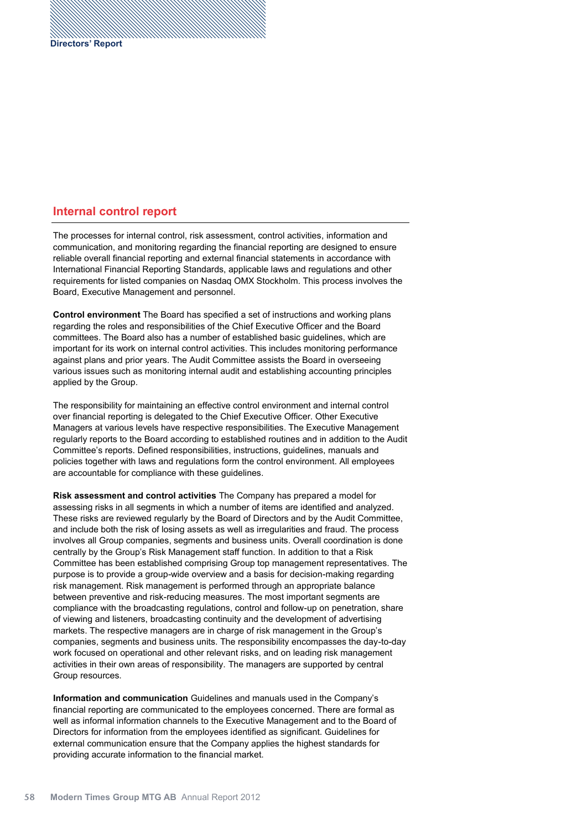### **Internal control report**

The processes for internal control, risk assessment, control activities, information and communication, and monitoring regarding the financial reporting are designed to ensure reliable overall financial reporting and external financial statements in accordance with International Financial Reporting Standards, applicable laws and regulations and other requirements for listed companies on Nasdaq OMX Stockholm. This process involves the Board, Executive Management and personnel.

**Control environment** The Board has specified a set of instructions and working plans regarding the roles and responsibilities of the Chief Executive Officer and the Board committees. The Board also has a number of established basic guidelines, which are important for its work on internal control activities. This includes monitoring performance against plans and prior years. The Audit Committee assists the Board in overseeing various issues such as monitoring internal audit and establishing accounting principles applied by the Group.

The responsibility for maintaining an effective control environment and internal control over financial reporting is delegated to the Chief Executive Officer. Other Executive Managers at various levels have respective responsibilities. The Executive Management regularly reports to the Board according to established routines and in addition to the Audit Committee's reports. Defined responsibilities, instructions, guidelines, manuals and policies together with laws and regulations form the control environment. All employees are accountable for compliance with these guidelines.

**Risk assessment and control activities** The Company has prepared a model for assessing risks in all segments in which a number of items are identified and analyzed. These risks are reviewed regularly by the Board of Directors and by the Audit Committee, and include both the risk of losing assets as well as irregularities and fraud. The process involves all Group companies, segments and business units. Overall coordination is done centrally by the Group's Risk Management staff function. In addition to that a Risk Committee has been established comprising Group top management representatives. The purpose is to provide a group-wide overview and a basis for decision-making regarding risk management. Risk management is performed through an appropriate balance between preventive and risk-reducing measures. The most important segments are compliance with the broadcasting regulations, control and follow-up on penetration, share of viewing and listeners, broadcasting continuity and the development of advertising markets. The respective managers are in charge of risk management in the Group's companies, segments and business units. The responsibility encompasses the day-to-day work focused on operational and other relevant risks, and on leading risk management activities in their own areas of responsibility. The managers are supported by central Group resources.

**Information and communication** Guidelines and manuals used in the Company's financial reporting are communicated to the employees concerned. There are formal as well as informal information channels to the Executive Management and to the Board of Directors for information from the employees identified as significant. Guidelines for external communication ensure that the Company applies the highest standards for providing accurate information to the financial market.